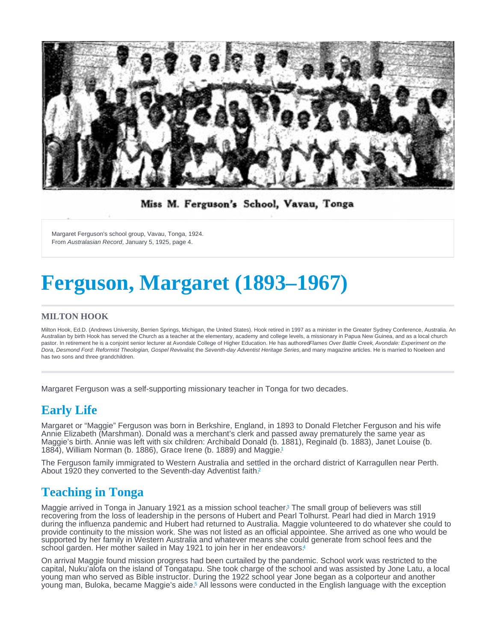<span id="page-0-0"></span>Margaret Ferguson's school group, Vavau, Tonga, 1924. From Australasian Record, January 5, 1925, page 4.

# Ferguson, Margaret (1893–1967)

#### MILTON HOOK

Milton Hook, Ed.D. (Andrews University, Berrien Springs, Michigan, the United States). Hook retired in 1997 as a minister in the Greater Sydney Conference, Australia. An Australian by birth Hook has served the Church as a teacher at the elementary, academy and college levels, a missionary in Papua New Guinea, and as a local church pastor. In retirement he is a conjoint senior lecturer at Avondale College of Higher Education. He has authoredFlames Over Battle Creek, Avondale: Experiment on the Dora, Desmond Ford: Reformist Theologian, Gospel Revivalist, the Seventh-day Adventist Heritage Series, and many magazine articles. He is married to Noeleen and has two sons and three grandchildren.

Margaret Ferguson was a self-supporting missionary teacher in Tonga for two decades.

# Early Life

Margaret or "Maggie" Ferguson was born in Berkshire, England, in 1893 to Donald Fletcher Ferguson and his wife Annie Elizabeth (Marshman). Donald was a merchant's clerk and passed away prematurely the same year as Maggie's birth. Annie was left with six children: Archibald Donald (b. 1881), Reginald (b. 1883), Janet Louise (b. 1884), William Norman (b. 1886), Grace Irene (b. 1889) and Maggie.[1](#page-2-0)

The Ferguson family immigrated to Western Australia and settled in the orchard district of Karragullen near Perth. About 19[2](#page-2-0)0 they converted to the Seventh-day Adventist faith.<sup>2</sup>

## Teaching in Tonga

Maggie arrived in Tonga in January 1921 as a mission school teacher<sup>3</sup> The small group of believers was still recovering from the loss of leadership in the persons of Hubert and Pearl Tolhurst. Pearl had died in March 1919 during the influenza pandemic and Hubert had returned to Australia. Maggie volunteered to do whatever she could to provide continuity to the mission work. She was not listed as an official appointee. She arrived as one who would be supported by her family in Western Australia and whatever means she could generate from school fees and the school garden. Her mother sailed in May 1921 to join her in her endeavors.<sup>[4](#page-2-0)</sup>

On arrival Maggie found mission progress had been curtailed by the pandemic. School work was restricted to the capital, Nuku'alofa on the island of Tongatapu. She took charge of the school and was assisted by Jone Latu, a local young man who served as Bible instructor. During the 1922 school year Jone began as a colporteur and another young man, Buloka, became Maggie's aide[.](#page-2-0)<sup>5</sup> All lessons were conducted in the English language with the exception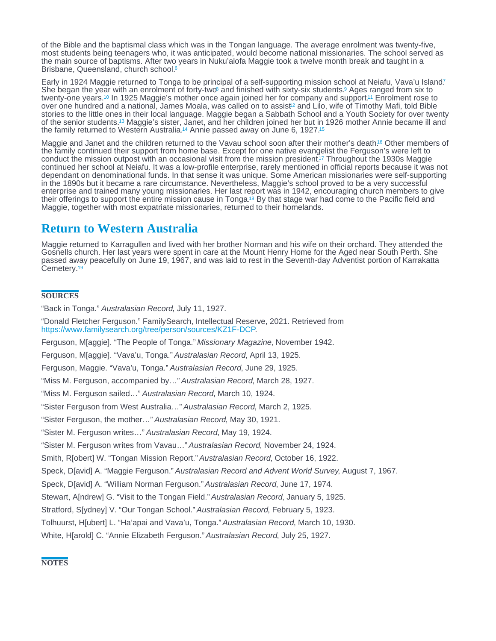<span id="page-1-0"></span>of the Bible and the baptismal class which was in the Tongan language. The average enrolment was twenty-five, most students being teenagers who, it was anticipated, would become national missionaries. The school served as the main source of baptisms. After two years in Nuku'alofa Maggie took a twelve month break and taught in a Brisbane, Queensland, church school.<sup>[6](#page-2-0)</sup>

Early in 1924 Maggie returned to Tonga to be principal of a self-supporting mission school at Neiafu, Vava'u Island? She began the year with an enr[o](#page-2-0)lment of forty-two and finished with sixty-six students[.](#page-2-0) Ages ranged from six to twenty-one years.<sup>10</sup> In 1925 Maggie's mother once again joined her for company and support.<sup>11</sup> Enrolment rose to over one hundred and a na[t](#page-2-0)ional, James Moala, was called on to assist<sup>12</sup> and Lilo, wife of Timothy Mafi, told Bible stories to the little ones in their local language. Maggie began a Sabbath School and a Youth Society for over twenty of the senior students.<sup>13</sup> Maggie's sister, Janet, and her children joined her but in 1926 mother Annie became ill and the family returned to Western Australia.<sup>14</sup> Annie passed away on June 6, 1927.<sup>[15](#page-2-0)</sup>

Maggie and Janet and the children returned to the Vavau school soon after their mother's death[.](#page-2-0)<sup>16</sup> Other members of the family continued their support from home base. Except for one native evangelist the Ferguson's were left to conduct the mission outpost with an occasional visit from the mission president[.](#page-2-0)<sup>17</sup> Throughout the 1930s Maggie continued her school at Neiafu. It was a low-profile enterprise, rarely mentioned in official reports because it was not dependant on denominational funds. In that sense it was unique. Some American missionaries were self-supporting in the 1890s but it became a rare circumstance. Nevertheless, Maggie's school proved to be a very successful enterprise and trained many young missionaries. Her last report was in 1942, encouraging church members to give their offerings to support the entire mission cause in Tonga[.](#page-2-0)<sup>18</sup> By that stage war had come to the Pacific field and Maggie, together with most expatriate missionaries, returned to their homelands.

## Return to Western Australia

Maggie returned to Karragullen and lived with her brother Norman and his wife on their orchard. They attended the Gosnells church. Her last years were spent in care at the Mount Henry Home for the Aged near South Perth. She passed away peacefully on June 19, 1967, and was laid to rest in the Seventh-day Adventist portion of Karrakatta Cemetery.<sup>[19](#page-2-0)</sup>

### **SOURCES**

"Back in Tonga." Australasian Record, July 11, 1927.

"Donald Fletcher Ferguson." FamilySearch, Intellectual Reserve, 2021. Retrieved from [https://www.familysearch.org/tree/person/sources/KZ1F-DCP.](https://www.familysearch.org/tree/person/sources/KZ1F-DCP)

Ferguson, M[aggie]. "The People of Tonga." Missionary Magazine, November 1942.

Ferguson, M[aggie]. "Vava'u, Tonga." Australasian Record, April 13, 1925.

Ferguson, Maggie. "Vava'u, Tonga." Australasian Record, June 29, 1925.

"Miss M. Ferguson, accompanied by…" Australasian Record, March 28, 1927.

"Miss M. Ferguson sailed…" Australasian Record, March 10, 1924.

"Sister Ferguson from West Australia…" Australasian Record, March 2, 1925.

"Sister Ferguson, the mother…" Australasian Record, May 30, 1921.

"Sister M. Ferguson writes…" Australasian Record, May 19, 1924.

"Sister M. Ferguson writes from Vavau…" Australasian Record, November 24, 1924.

Smith, R[obert] W. "Tongan Mission Report." Australasian Record, October 16, 1922.

Speck, D[avid] A. "Maggie Ferguson." Australasian Record and Advent World Survey, August 7, 1967.

Speck, D[avid] A. "William Norman Ferguson." Australasian Record, June 17, 1974.

Stewart, A[ndrew] G. "Visit to the Tongan Field." Australasian Record, January 5, 1925.

Stratford, S[ydney] V. "Our Tongan School." Australasian Record, February 5, 1923.

Tolhuurst, H[ubert] L. "Ha'apai and Vava'u, Tonga." Australasian Record, March 10, 1930.

White, H[arold] C. "Annie Elizabeth Ferguson." Australasian Record, July 25, 1927.